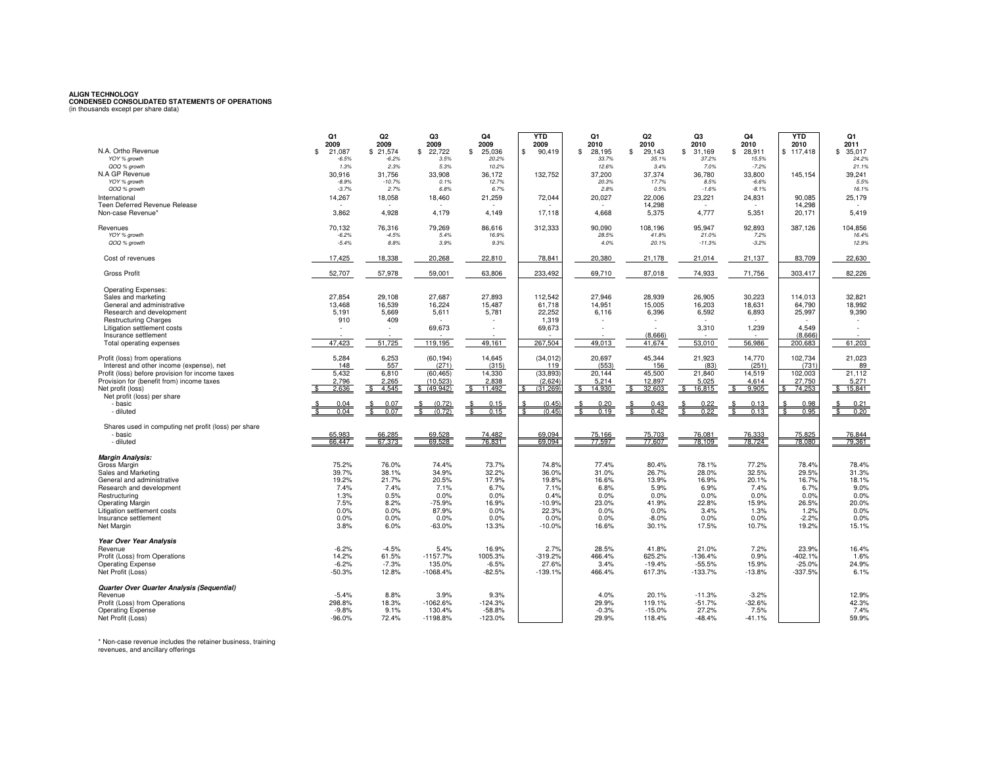## **ALIGN TECHNOLOGY CONDENSED CONSOLIDATED STATEMENTS OF OPERATIONS** (in thousands except per share data)

|                                                       | Q1<br>2009        | Q <sub>2</sub><br>2009 | Q3<br>2009       | Q4<br>2009      | <b>YTD</b><br>2009 | Q1<br>2010      | Q <sub>2</sub><br>2010 | Q3<br>2010     | Q4<br>2010        | <b>YTD</b><br>2010 | Q1<br>2011     |
|-------------------------------------------------------|-------------------|------------------------|------------------|-----------------|--------------------|-----------------|------------------------|----------------|-------------------|--------------------|----------------|
| N.A. Ortho Revenue                                    | \$<br>21.087      | \$21,574               | \$<br>22.722     | \$<br>25,036    | \$<br>90,419       | \$<br>28.195    | \$<br>29,143           | \$<br>31.169   | \$<br>28,911      | \$117,418          | 35,017<br>\$   |
| YOY % growth                                          | $-6.5%$           | $-6.2%$<br>2.3%        | 3.5%<br>5.3%     | 20.2%<br>10.2%  |                    | 33.7%           | 35.1%<br>3.4%          | 37.2%          | 15.5%             |                    | 24.2%          |
| QOQ % growth<br>N.A GP Revenue                        | 1.3%              |                        |                  |                 |                    | 12.6%           |                        | 7.0%           | $-7.2%$           |                    | 21.1%          |
| YOY % growth                                          | 30,916<br>$-8.9%$ | 31,756<br>$-10.7%$     | 33,908<br>0.1%   | 36,172<br>12.7% | 132,752            | 37,200<br>20.3% | 37,374<br>17.7%        | 36,780<br>8.5% | 33,800<br>$-6.6%$ | 145,154            | 39,241<br>5.5% |
| QOQ % growth                                          | $-3.7%$           | 2.7%                   | 6.8%             | 6.7%            |                    | 2.8%            | 0.5%                   | $-1.6%$        | $-8.1%$           |                    | 16.1%          |
| International                                         | 14,267            |                        | 18,460           | 21,259          | 72,044             | 20,027          | 22,006                 | 23,221         |                   | 90,085             | 25,179         |
| Teen Deferred Revenue Release                         |                   | 18,058                 |                  |                 |                    |                 | 14,298                 |                | 24,831            | 14,298             |                |
| Non-case Revenue*                                     | 3,862             | 4,928                  | 4,179            | 4,149           | 17,118             | 4,668           | 5,375                  | 4,777          | 5,351             | 20,171             | 5,419          |
|                                                       |                   |                        |                  |                 |                    |                 |                        |                |                   |                    |                |
| Revenues                                              | 70,132            | 76,316                 | 79,269           | 86,616          | 312,333            | 90,090          | 108,196                | 95,947         | 92,893            | 387,126            | 104,856        |
| YOY % growth                                          | $-6.2%$           | $-4.5%$                | 5.4%             | 16.9%           |                    | 28.5%           | 41.8%                  | 21.0%          | 7.2%              |                    | 16.4%          |
| QOQ % growth                                          | $-5.4%$           | 8.8%                   | 3.9%             | 9.3%            |                    | 4.0%            | 20.1%                  | $-11.3%$       | $-3.2%$           |                    | 12.9%          |
|                                                       |                   |                        |                  |                 |                    |                 |                        |                |                   |                    |                |
| Cost of revenues                                      | 17,425            | 18,338                 | 20,268           | 22,810          | 78,841             | 20,380          | 21,178                 | 21,014         | 21,137            | 83,709             | 22,630         |
|                                                       |                   |                        |                  |                 |                    |                 |                        |                |                   |                    |                |
| <b>Gross Profit</b>                                   | 52,707            | 57,978                 | 59,001           | 63,806          | 233,492            | 69,710          | 87,018                 | 74,933         | 71,756            | 303,417            | 82,226         |
|                                                       |                   |                        |                  |                 |                    |                 |                        |                |                   |                    |                |
| <b>Operating Expenses:</b>                            |                   |                        |                  |                 |                    |                 |                        |                |                   |                    |                |
| Sales and marketing                                   | 27.854            | 29.108                 | 27.687           | 27,893          | 112.542            | 27.946          | 28.939                 | 26.905         | 30.223            | 114,013            | 32.821         |
| General and administrative                            | 13,468            | 16,539                 | 16,224           | 15,487          | 61,718<br>22.252   | 14,951          | 15,005                 | 16,203         | 18,631            | 64,790             | 18,992         |
| Research and development                              | 5,191             | 5,669                  | 5,611            | 5,781           |                    | 6,116           | 6,396                  | 6,592          | 6,893             | 25,997             | 9,390          |
| <b>Restructuring Charges</b>                          | 910               | 409                    | 69,673           | $\sim$          | 1.319              |                 |                        | 3,310          |                   | 4,549              |                |
| Litigation settlement costs<br>Insurance settlement   |                   |                        |                  |                 | 69,673             |                 | (8,666)                |                | 1,239             | (8.666)            |                |
| Total operating expenses                              | 47,423            | 51,725                 | 119,195          | 49,161          | 267,504            | 49,013          | 41,674                 | 53,010         | 56,986            | 200,683            | 61,203         |
|                                                       |                   |                        |                  |                 |                    |                 |                        |                |                   |                    |                |
| Profit (loss) from operations                         | 5,284             | 6,253                  | (60, 194)        | 14,645          | (34, 012)          | 20,697          | 45,344                 | 21,923         | 14.770            | 102,734            | 21,023         |
| Interest and other income (expense), net              | 148               | 557                    | (271)            | (315)           | 119                | (553)           | 156                    | (83)           | (251)             | (731)              | 89             |
| Profit (loss) before provision for income taxes       | 5,432             | 6,810                  | (60, 465)        | 14,330          | (33, 893)          | 20,144          | 45,500                 | 21,840         | 14,519            | 102,003            | 21,112         |
| Provision for (benefit from) income taxes             | 2.796             | 2,265                  | (10.523)         | 2.838           | (2.624)            | 5.214           | 12,897                 | 5.025          | 4.614             | 27.750             | 5,271          |
| Net profit (loss)                                     | 2,636             | 4,545                  | \$ (49,942)      | 11,492          | (31, 269)<br>\$    | 14.930<br>\$    | 32,603<br>ፍ            | \$<br>16,815   | 9.905<br>ፍ        | 74.253             | 15,841<br>\$   |
| Net profit (loss) per share                           |                   |                        |                  |                 |                    |                 |                        |                |                   |                    |                |
| - basic                                               | 0.04              | 0.07                   | (0.72)           | 0.15            | ፍ<br>(0.45)        | 0.20            |                        |                | 0.13              | 0.98               | 0.21           |
| - diluted                                             | 0.04              | 0.07                   | (0.72)<br>£.     | 0.15            | -\$<br>(0.45)      | 0.19            | 0.42                   | 0.22           | 0.13              | -\$<br>0.95        | 0.20<br>Ŝ.     |
| Shares used in computing net profit (loss) per share  |                   |                        |                  |                 |                    |                 |                        |                |                   |                    |                |
| - basic                                               | 65.983            | 66.285                 | 69.528           | 74.482          | 69.094             | 75.166          | 75.703                 | 76.081         | 76,333            | 75.825             | 76,844         |
| - diluted                                             | 66.447            | 67.373                 | 69.528           | 76.831          | 69.094             | 77.597          | 77.607                 | 78.109         | 78.724            | 78.080             | 79.361         |
|                                                       |                   |                        |                  |                 |                    |                 |                        |                |                   |                    |                |
| <b>Margin Analysis:</b>                               |                   |                        |                  |                 |                    |                 |                        |                |                   |                    |                |
| Gross Margin                                          | 75.2%             | 76.0%                  | 74.4%            | 73.7%           | 74.8%              | 77.4%           | 80.4%                  | 78.1%          | 77.2%             | 78.4%              | 78.4%          |
| Sales and Marketing                                   | 39.7%             | 38.1%                  | 34.9%            | 32.2%           | 36.0%              | 31.0%           | 26.7%                  | 28.0%          | 32.5%             | 29.5%              | 31.3%          |
| General and administrative                            | 19.2%             | 21.7%                  | 20.5%            | 17.9%           | 19.8%              | 16.6%           | 13.9%                  | 16.9%          | 20.1%             | 16.7%              | 18.1%          |
| Research and development                              | 7.4%              | 7.4%                   | 7.1%             | 6.7%            | 7.1%               | 6.8%            | 5.9%                   | 6.9%           | 7.4%              | 6.7%               | 9.0%           |
| Restructuring                                         | 1.3%              | 0.5%                   | 0.0%             | 0.0%            | 0.4%               | 0.0%            | 0.0%                   | 0.0%           | 0.0%              | 0.0%               | 0.0%           |
| Operating Margin                                      | 7.5%              | 8.2%                   | $-75.9%$         | 16.9%           | $-10.9%$           | 23.0%           | 41.9%                  | 22.8%          | 15.9%             | 26.5%              | 20.0%          |
| Litigation settlement costs                           | 0.0%              | 0.0%                   | 87.9%            | 0.0%            | 22.3%              | 0.0%            | 0.0%                   | 3.4%           | 1.3%              | 1.2%               | 0.0%           |
| Insurance settlement                                  | 0.0%<br>3.8%      | 0.0%<br>6.0%           | 0.0%<br>$-63.0%$ | 0.0%<br>13.3%   | 0.0%               | 0.0%<br>16.6%   | $-8.0%$                | 0.0%<br>17.5%  | 0.0%<br>10.7%     | $-2.2%$<br>19.2%   | 0.0%<br>15.1%  |
| Net Margin                                            |                   |                        |                  |                 | $-10.0%$           |                 | 30.1%                  |                |                   |                    |                |
| Year Over Year Analysis                               |                   |                        |                  |                 |                    |                 |                        |                |                   |                    |                |
| Revenue                                               | $-6.2%$           | $-4.5%$                | 5.4%             | 16.9%           | 2.7%               | 28.5%           | 41.8%                  | 21.0%          | 7.2%              | 23.9%              | 16.4%          |
| Profit (Loss) from Operations                         | 14.2%             | 61.5%                  | $-1157.7%$       | 1005.3%         | $-319.2%$          | 466.4%          | 625.2%                 | $-136.4%$      | 0.9%              | $-402.1%$          | 1.6%           |
| <b>Operating Expense</b>                              | $-6.2%$           | $-7.3%$                | 135.0%           | $-6.5%$         | 27.6%              | 3.4%            | $-19.4%$               | $-55.5%$       | 15.9%             | $-25.0%$           | 24.9%          |
| Net Profit (Loss)                                     | $-50.3%$          | 12.8%                  | $-1068.4%$       | $-82.5%$        | $-139.1%$          | 466.4%          | 617.3%                 | $-133.7%$      | $-13.8%$          | $-337.5%$          | 6.1%           |
|                                                       |                   |                        |                  |                 |                    |                 |                        |                |                   |                    |                |
| Quarter Over Quarter Analysis (Sequential)<br>Revenue | $-5.4%$           | 8.8%                   | 3.9%             | 9.3%            |                    | 4.0%            | 20.1%                  | $-11.3%$       | $-3.2%$           |                    | 12.9%          |
| Profit (Loss) from Operations                         | 298.8%            | 18.3%                  | $-1062.6%$       | $-124.3%$       |                    | 29.9%           | 119.1%                 | $-51.7%$       | $-32.6%$          |                    | 42.3%          |
| <b>Operating Expense</b>                              | $-9.8%$           | 9.1%                   | 130.4%           | $-58.8%$        |                    | $-0.3%$         | $-15.0%$               | 27.2%          | 7.5%              |                    | 7.4%           |
| Net Profit (Loss)                                     | $-96.0%$          | 72.4%                  | -1198.8%         | $-123.0%$       |                    | 29.9%           | 118.4%                 | $-48.4%$       | $-41.1%$          |                    | 59.9%          |

\* Non-case revenue includes the retainer business, training revenues, and ancillary offerings